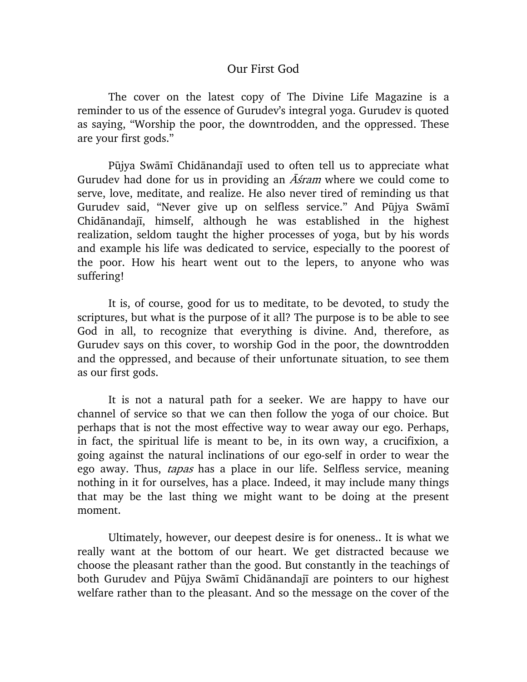## Our First God

The cover on the latest copy of The Divine Life Magazine is a reminder to us of the essence of Gurudev's integral yoga. Gurudev is quoted as saying, "Worship the poor, the downtrodden, and the oppressed. These are your first gods."

Pūjya Swāmī Chidānandajī used to often tell us to appreciate what Gurudev had done for us in providing an  $\overline{A}$ *stam* where we could come to serve, love, meditate, and realize. He also never tired of reminding us that Gurudev said, "Never give up on selfless service." And Pūjya Swāmī Chidānandajī, himself, although he was established in the highest realization, seldom taught the higher processes of yoga, but by his words and example his life was dedicated to service, especially to the poorest of the poor. How his heart went out to the lepers, to anyone who was suffering!

It is, of course, good for us to meditate, to be devoted, to study the scriptures, but what is the purpose of it all? The purpose is to be able to see God in all, to recognize that everything is divine. And, therefore, as Gurudev says on this cover, to worship God in the poor, the downtrodden and the oppressed, and because of their unfortunate situation, to see them as our first gods.

It is not a natural path for a seeker. We are happy to have our channel of service so that we can then follow the yoga of our choice. But perhaps that is not the most effective way to wear away our ego. Perhaps, in fact, the spiritual life is meant to be, in its own way, a crucifixion, a going against the natural inclinations of our ego-self in order to wear the ego away. Thus, *tapas* has a place in our life. Selfless service, meaning nothing in it for ourselves, has a place. Indeed, it may include many things that may be the last thing we might want to be doing at the present moment.

Ultimately, however, our deepest desire is for oneness.. It is what we really want at the bottom of our heart. We get distracted because we choose the pleasant rather than the good. But constantly in the teachings of both Gurudev and Pūjya Swāmī Chidānandajī are pointers to our highest welfare rather than to the pleasant. And so the message on the cover of the